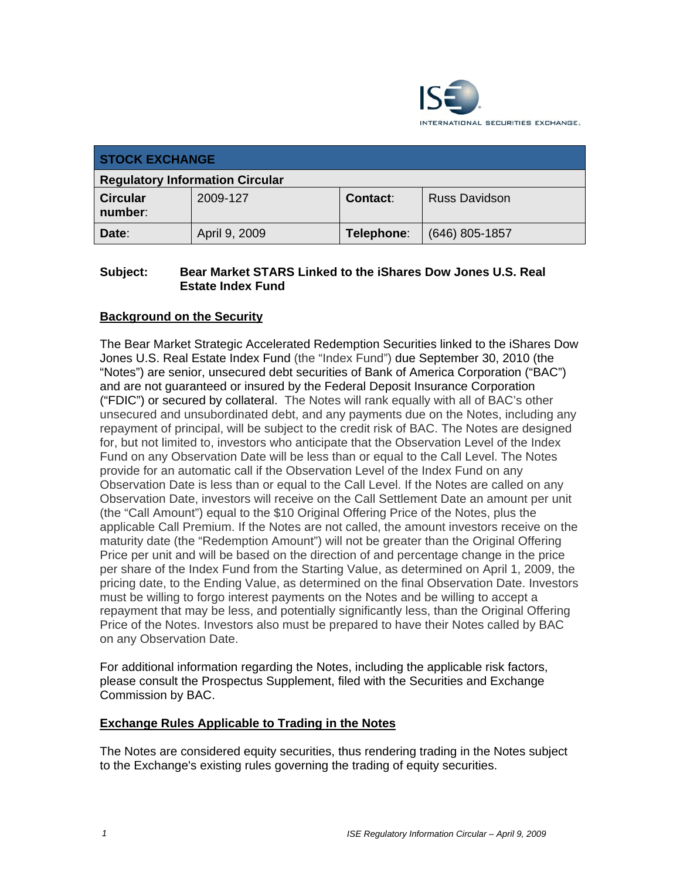

| <b>STOCK EXCHANGE</b>                  |               |            |                      |
|----------------------------------------|---------------|------------|----------------------|
| <b>Regulatory Information Circular</b> |               |            |                      |
| <b>Circular</b><br>number:             | 2009-127      | Contact:   | <b>Russ Davidson</b> |
| Date:                                  | April 9, 2009 | Telephone: | $(646)$ 805-1857     |

### **Subject: Bear Market STARS Linked to the iShares Dow Jones U.S. Real Estate Index Fund**

# **Background on the Security**

The Bear Market Strategic Accelerated Redemption Securities linked to the iShares Dow Jones U.S. Real Estate Index Fund (the "Index Fund") due September 30, 2010 (the "Notes") are senior, unsecured debt securities of Bank of America Corporation ("BAC") and are not guaranteed or insured by the Federal Deposit Insurance Corporation ("FDIC") or secured by collateral. The Notes will rank equally with all of BAC's other unsecured and unsubordinated debt, and any payments due on the Notes, including any repayment of principal, will be subject to the credit risk of BAC. The Notes are designed for, but not limited to, investors who anticipate that the Observation Level of the Index Fund on any Observation Date will be less than or equal to the Call Level. The Notes provide for an automatic call if the Observation Level of the Index Fund on any Observation Date is less than or equal to the Call Level. If the Notes are called on any Observation Date, investors will receive on the Call Settlement Date an amount per unit (the "Call Amount") equal to the \$10 Original Offering Price of the Notes, plus the applicable Call Premium. If the Notes are not called, the amount investors receive on the maturity date (the "Redemption Amount") will not be greater than the Original Offering Price per unit and will be based on the direction of and percentage change in the price per share of the Index Fund from the Starting Value, as determined on April 1, 2009, the pricing date, to the Ending Value, as determined on the final Observation Date. Investors must be willing to forgo interest payments on the Notes and be willing to accept a repayment that may be less, and potentially significantly less, than the Original Offering Price of the Notes. Investors also must be prepared to have their Notes called by BAC on any Observation Date.

For additional information regarding the Notes, including the applicable risk factors, please consult the Prospectus Supplement, filed with the Securities and Exchange Commission by BAC.

### **Exchange Rules Applicable to Trading in the Notes**

The Notes are considered equity securities, thus rendering trading in the Notes subject to the Exchange's existing rules governing the trading of equity securities.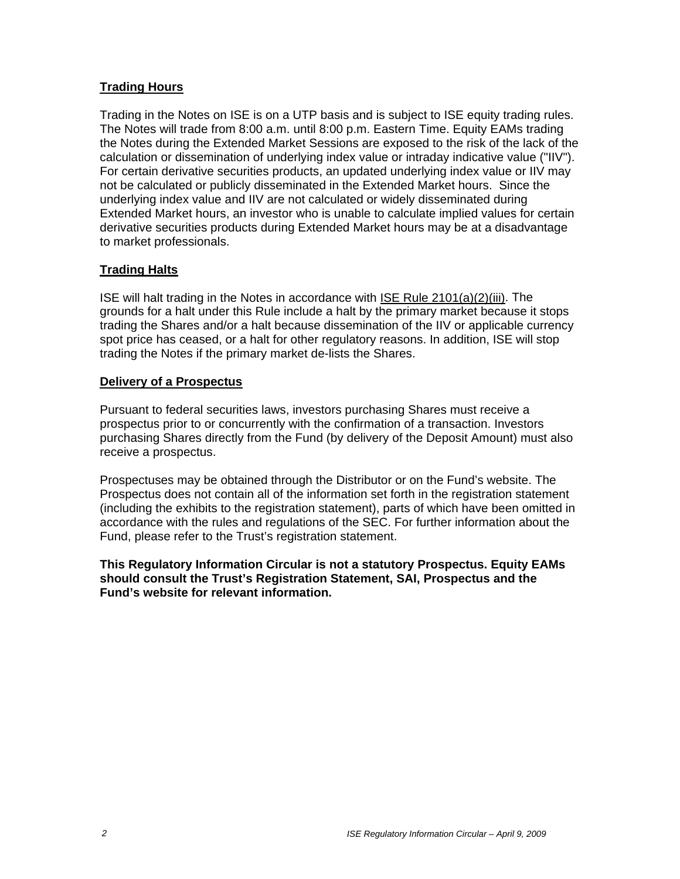# **Trading Hours**

Trading in the Notes on ISE is on a UTP basis and is subject to ISE equity trading rules. The Notes will trade from 8:00 a.m. until 8:00 p.m. Eastern Time. Equity EAMs trading the Notes during the Extended Market Sessions are exposed to the risk of the lack of the calculation or dissemination of underlying index value or intraday indicative value ("IIV"). For certain derivative securities products, an updated underlying index value or IIV may not be calculated or publicly disseminated in the Extended Market hours. Since the underlying index value and IIV are not calculated or widely disseminated during Extended Market hours, an investor who is unable to calculate implied values for certain derivative securities products during Extended Market hours may be at a disadvantage to market professionals.

# **Trading Halts**

ISE will halt trading in the Notes in accordance with ISE Rule 2101(a)(2)(iii). The grounds for a halt under this Rule include a halt by the primary market because it stops trading the Shares and/or a halt because dissemination of the IIV or applicable currency spot price has ceased, or a halt for other regulatory reasons. In addition, ISE will stop trading the Notes if the primary market de-lists the Shares.

### **Delivery of a Prospectus**

Pursuant to federal securities laws, investors purchasing Shares must receive a prospectus prior to or concurrently with the confirmation of a transaction. Investors purchasing Shares directly from the Fund (by delivery of the Deposit Amount) must also receive a prospectus.

Prospectuses may be obtained through the Distributor or on the Fund's website. The Prospectus does not contain all of the information set forth in the registration statement (including the exhibits to the registration statement), parts of which have been omitted in accordance with the rules and regulations of the SEC. For further information about the Fund, please refer to the Trust's registration statement.

**This Regulatory Information Circular is not a statutory Prospectus. Equity EAMs should consult the Trust's Registration Statement, SAI, Prospectus and the Fund's website for relevant information.**